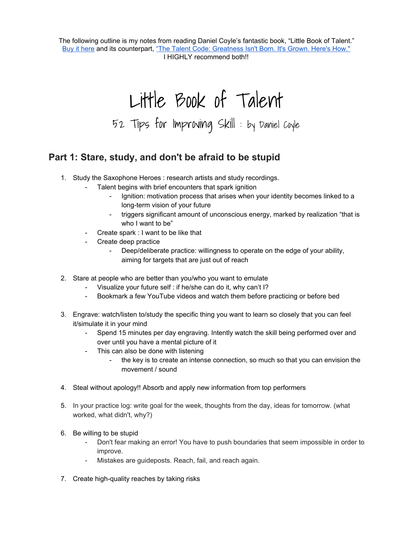The following outline is my notes from reading Daniel Coyle's fantastic book, "Little Book of Talent." Buy it [here](https://www.amazon.com/Little-Book-Talent-Improving-Skills/dp/034553025X) and its counterpart, "The Talent Code: [Greatness](https://www.amazon.com/Talent-Code-Greatness-Born-Grown/dp/055380684X/ref=pd_lpo_sbs_14_t_0?_encoding=UTF8&psc=1&refRID=RRAKFAQH3EJ0F53JNKN9) Isn't Born. It's Grown. Here's How." I HIGHLY recommend both!!

Little Book of Talent 52 Tips for Improving Skill : by Daniel Coyle

## **Part 1: Stare, study, and don't be afraid to be stupid**

- 1. Study the Saxophone Heroes : research artists and study recordings.
	- Talent begins with brief encounters that spark ignition
		- Ignition: motivation process that arises when your identity becomes linked to a long-term vision of your future
		- triggers significant amount of unconscious energy, marked by realization "that is who I want to be"
	- Create spark : I want to be like that
	- Create deep practice
		- Deep/deliberate practice: willingness to operate on the edge of your ability, aiming for targets that are just out of reach
- 2. Stare at people who are better than you/who you want to emulate
	- Visualize your future self : if he/she can do it, why can't I?
	- Bookmark a few YouTube videos and watch them before practicing or before bed
- 3. Engrave: watch/listen to/study the specific thing you want to learn so closely that you can feel it/simulate it in your mind
	- Spend 15 minutes per day engraving. Intently watch the skill being performed over and over until you have a mental picture of it
	- This can also be done with listening
		- the key is to create an intense connection, so much so that you can envision the movement / sound
- 4. Steal without apology!! Absorb and apply new information from top performers
- 5. In your practice log: write goal for the week, thoughts from the day, ideas for tomorrow. (what worked, what didn't, why?)
- 6. Be willing to be stupid
	- Don't fear making an error! You have to push boundaries that seem impossible in order to improve.
	- Mistakes are guideposts. Reach, fail, and reach again.
- 7. Create high-quality reaches by taking risks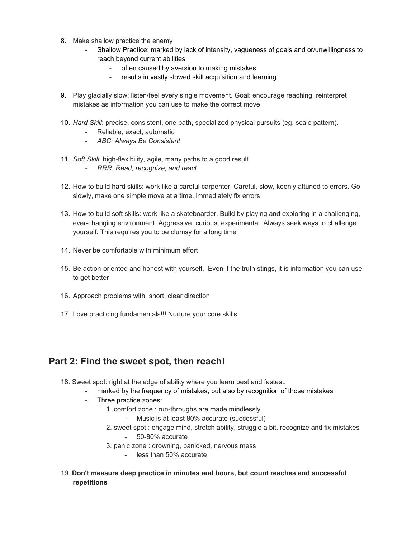- 8. Make shallow practice the enemy
	- Shallow Practice: marked by lack of intensity, vagueness of goals and or/unwillingness to reach beyond current abilities
		- often caused by aversion to making mistakes
		- results in vastly slowed skill acquisition and learning
- 9. Play glacially slow: listen/feel every single movement. Goal: encourage reaching, reinterpret mistakes as information you can use to make the correct move
- 10. *Hard Skill*: precise, consistent, one path, specialized physical pursuits (eg, scale pattern).
	- Reliable, exact, automatic
	- *ABC: Always Be Consistent*
- 11. *Soft Skill*: high-flexibility, agile, many paths to a good result
	- *- RRR: Read, recognize, and react*
- 12. How to build hard skills: work like a careful carpenter. Careful, slow, keenly attuned to errors. Go slowly, make one simple move at a time, immediately fix errors
- 13. How to build soft skills: work like a skateboarder. Build by playing and exploring in a challenging, ever-changing environment. Aggressive, curious, experimental. Always seek ways to challenge yourself. This requires you to be clumsy for a long time
- 14. Never be comfortable with minimum effort
- 15. Be action-oriented and honest with yourself. Even if the truth stings, it is information you can use to get better
- 16. Approach problems with short, clear direction
- 17. Love practicing fundamentals!!! Nurture your core skills

## **Part 2: Find the sweet spot, then reach!**

- 18. Sweet spot: right at the edge of ability where you learn best and fastest.
	- marked by the frequency of mistakes, but also by recognition of those mistakes
	- Three practice zones:
		- 1. comfort zone : run-throughs are made mindlessly
			- Music is at least 80% accurate (successful)
		- 2. sweet spot : engage mind, stretch ability, struggle a bit, recognize and fix mistakes - 50-80% accurate
		- 3. panic zone : drowning, panicked, nervous mess
			- less than 50% accurate
- 19. **Don't measure deep practice in minutes and hours, but count reaches and successful repetitions**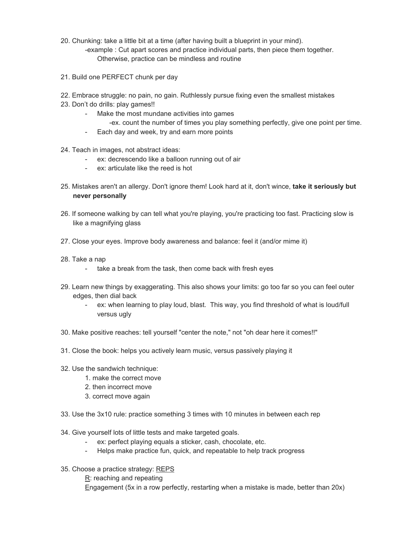- 20. Chunking: take a little bit at a time (after having built a blueprint in your mind).
	- -example : Cut apart scores and practice individual parts, then piece them together. Otherwise, practice can be mindless and routine
- 21. Build one PERFECT chunk per day
- 22. Embrace struggle: no pain, no gain. Ruthlessly pursue fixing even the smallest mistakes
- 23. Don't do drills: play games!!
	- Make the most mundane activities into games -ex. count the number of times you play something perfectly, give one point per time.
	- Each day and week, try and earn more points
- 24. Teach in images, not abstract ideas:
	- ex: decrescendo like a balloon running out of air
	- ex: articulate like the reed is hot
- 25. Mistakes aren't an allergy. Don't ignore them! Look hard at it, don't wince, **take it seriously but never personally**
- 26. If someone walking by can tell what you're playing, you're practicing too fast. Practicing slow is like a magnifying glass
- 27. Close your eyes. Improve body awareness and balance: feel it (and/or mime it)
- 28. Take a nap
	- take a break from the task, then come back with fresh eyes
- 29. Learn new things by exaggerating. This also shows your limits: go too far so you can feel outer edges, then dial back
	- ex: when learning to play loud, blast. This way, you find threshold of what is loud/full versus ugly
- 30. Make positive reaches: tell yourself "center the note," not "oh dear here it comes!!"
- 31. Close the book: helps you actively learn music, versus passively playing it
- 32. Use the sandwich technique:
	- 1. make the correct move
	- 2. then incorrect move
	- 3. correct move again
- 33. Use the 3x10 rule: practice something 3 times with 10 minutes in between each rep
- 34. Give yourself lots of little tests and make targeted goals.
	- ex: perfect playing equals a sticker, cash, chocolate, etc.
	- Helps make practice fun, quick, and repeatable to help track progress
- 35. Choose a practice strategy: REPS
	- $R$ : reaching and repeating
	- Engagement (5x in a row perfectly, restarting when a mistake is made, better than 20x)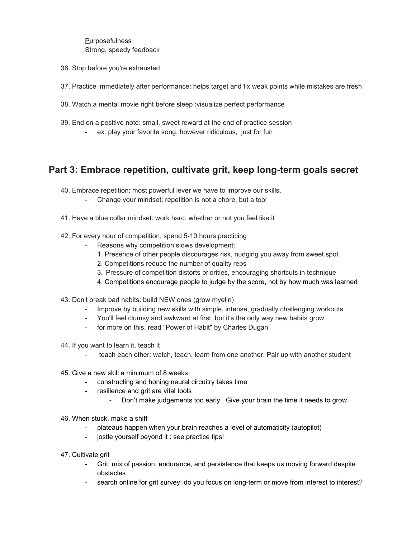**Purposefulness** Strong, speedy feedback

- 36. Stop before you're exhausted
- 37. Practice immediately after performance: helps target and fix weak points while mistakes are fresh
- 38. Watch a mental movie right before sleep :visualize perfect performance
- 39. End on a positive note: small, sweet reward at the end of practice session ex. play your favorite song, however ridiculous, just for fun

## **Part 3: Embrace repetition, cultivate grit, keep long-term goals secret**

40. Embrace repetition: most powerful lever we have to improve our skills.

- Change your mindset: repetition is not a chore, but a tool
- 41. Have a blue collar mindset: work hard, whether or not you feel like it
- 42. For every hour of competition, spend 5-10 hours practicing
	- Reasons why competition slows development:
		- 1. Presence of other people discourages risk, nudging you away from sweet spot
		- 2. Competitions reduce the number of quality reps
		- 3. Pressure of competition distorts priorities, encouraging shortcuts in technique
		- 4. Competitions encourage people to judge by the score, not by how much was learned
- 43. Don't break bad habits: build NEW ones (grow myelin)
	- Improve by building new skills with simple, intense, gradually challenging workouts
	- You'll feel clumsy and awkward at first, but it's the only way new habits grow
	- for more on this, read "Power of Habit" by Charles Dugan
- 44. If you want to learn it, teach it
	- teach each other: watch, teach, learn from one another. Pair up with another student
- 45. Give a new skill a minimum of 8 weeks
	- constructing and honing neural circuitry takes time
	- resilience and grit are vital tools
		- Don't make judgements too early. Give your brain the time it needs to grow
- 46. When stuck, make a shift
	- plateaus happen when your brain reaches a level of automaticity (autopilot)
	- jostle yourself beyond it : see practice tips!
- 47. Cultivate grit
	- Grit: mix of passion, endurance, and persistence that keeps us moving forward despite obstacles
	- search online for grit survey: do you focus on long-term or move from interest to interest?